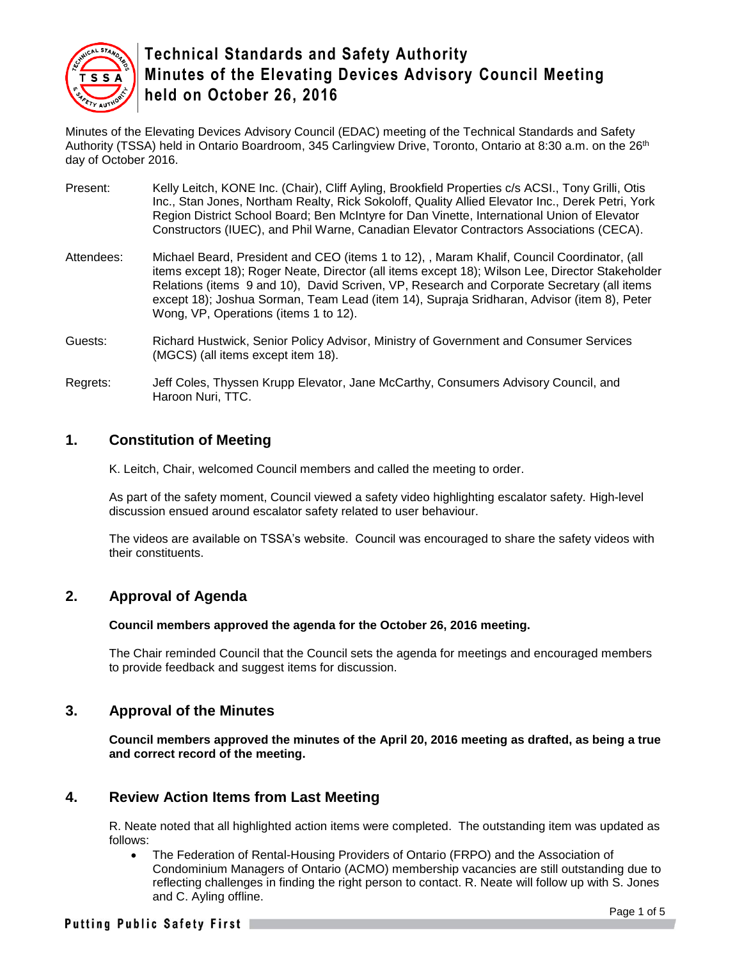

Minutes of the Elevating Devices Advisory Council (EDAC) meeting of the Technical Standards and Safety Authority (TSSA) held in Ontario Boardroom, 345 Carlingview Drive, Toronto, Ontario at 8:30 a.m. on the 26<sup>th</sup> day of October 2016.

- Present: Kelly Leitch, KONE Inc. (Chair), Cliff Ayling, Brookfield Properties c/s ACSI., Tony Grilli, Otis Inc., Stan Jones, Northam Realty, Rick Sokoloff, Quality Allied Elevator Inc., Derek Petri, York Region District School Board; Ben McIntyre for Dan Vinette, International Union of Elevator Constructors (IUEC), and Phil Warne, Canadian Elevator Contractors Associations (CECA).
- Attendees: Michael Beard, President and CEO (items 1 to 12), , Maram Khalif, Council Coordinator, (all items except 18); Roger Neate, Director (all items except 18); Wilson Lee, Director Stakeholder Relations (items 9 and 10), David Scriven, VP, Research and Corporate Secretary (all items except 18); Joshua Sorman, Team Lead (item 14), Supraja Sridharan, Advisor (item 8), Peter Wong, VP, Operations (items 1 to 12).
- Guests: Richard Hustwick, Senior Policy Advisor, Ministry of Government and Consumer Services (MGCS) (all items except item 18).
- Regrets: Jeff Coles, Thyssen Krupp Elevator, Jane McCarthy, Consumers Advisory Council, and Haroon Nuri, TTC.

### **1. Constitution of Meeting**

K. Leitch, Chair, welcomed Council members and called the meeting to order.

As part of the safety moment, Council viewed a safety video highlighting escalator safety. High-level discussion ensued around escalator safety related to user behaviour.

The videos are available on TSSA's website. Council was encouraged to share the safety videos with their constituents.

#### **2. Approval of Agenda**

#### **Council members approved the agenda for the October 26, 2016 meeting.**

The Chair reminded Council that the Council sets the agenda for meetings and encouraged members to provide feedback and suggest items for discussion.

#### **3. Approval of the Minutes**

**Council members approved the minutes of the April 20, 2016 meeting as drafted, as being a true and correct record of the meeting.** 

#### **4. Review Action Items from Last Meeting**

R. Neate noted that all highlighted action items were completed. The outstanding item was updated as follows:

 The Federation of Rental-Housing Providers of Ontario (FRPO) and the Association of Condominium Managers of Ontario (ACMO) membership vacancies are still outstanding due to reflecting challenges in finding the right person to contact. R. Neate will follow up with S. Jones and C. Ayling offline.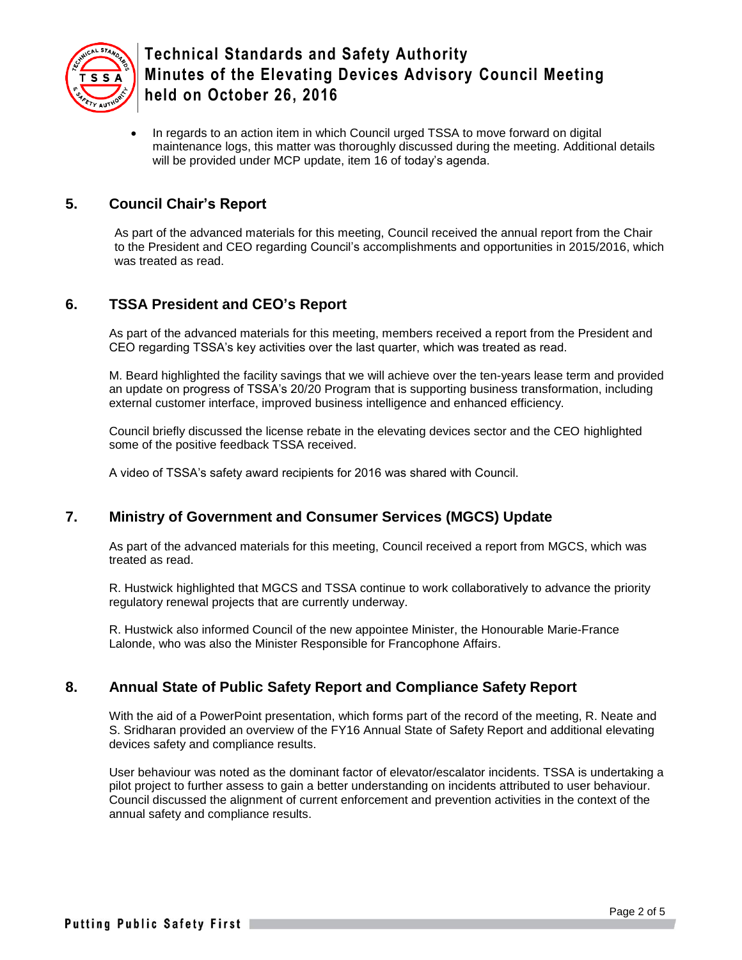

• In regards to an action item in which Council urged TSSA to move forward on digital maintenance logs, this matter was thoroughly discussed during the meeting. Additional details will be provided under MCP update, item 16 of today's agenda.

### **5. Council Chair's Report**

As part of the advanced materials for this meeting, Council received the annual report from the Chair to the President and CEO regarding Council's accomplishments and opportunities in 2015/2016, which was treated as read.

## **6. TSSA President and CEO's Report**

As part of the advanced materials for this meeting, members received a report from the President and CEO regarding TSSA's key activities over the last quarter, which was treated as read.

M. Beard highlighted the facility savings that we will achieve over the ten-years lease term and provided an update on progress of TSSA's 20/20 Program that is supporting business transformation, including external customer interface, improved business intelligence and enhanced efficiency.

Council briefly discussed the license rebate in the elevating devices sector and the CEO highlighted some of the positive feedback TSSA received.

A video of TSSA's safety award recipients for 2016 was shared with Council.

#### **7. Ministry of Government and Consumer Services (MGCS) Update**

As part of the advanced materials for this meeting, Council received a report from MGCS, which was treated as read.

R. Hustwick highlighted that MGCS and TSSA continue to work collaboratively to advance the priority regulatory renewal projects that are currently underway.

R. Hustwick also informed Council of the new appointee Minister, the Honourable Marie-France Lalonde, who was also the Minister Responsible for Francophone Affairs.

#### **8. Annual State of Public Safety Report and Compliance Safety Report**

With the aid of a PowerPoint presentation, which forms part of the record of the meeting, R. Neate and S. Sridharan provided an overview of the FY16 Annual State of Safety Report and additional elevating devices safety and compliance results.

User behaviour was noted as the dominant factor of elevator/escalator incidents. TSSA is undertaking a pilot project to further assess to gain a better understanding on incidents attributed to user behaviour. Council discussed the alignment of current enforcement and prevention activities in the context of the annual safety and compliance results.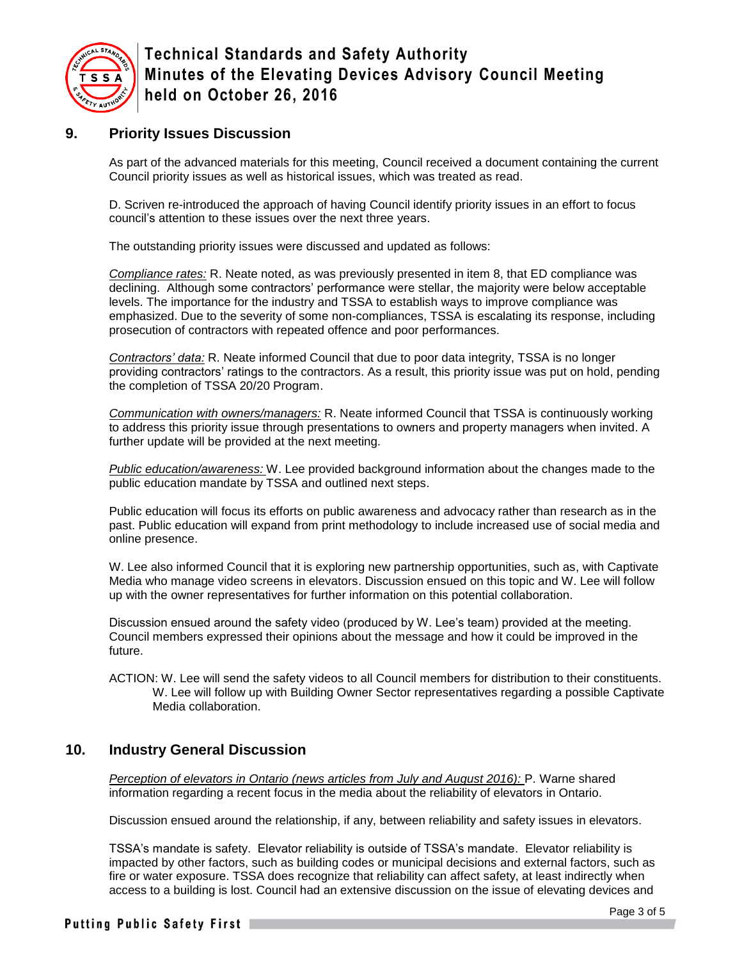

### **9. Priority Issues Discussion**

As part of the advanced materials for this meeting, Council received a document containing the current Council priority issues as well as historical issues, which was treated as read.

D. Scriven re-introduced the approach of having Council identify priority issues in an effort to focus council's attention to these issues over the next three years.

The outstanding priority issues were discussed and updated as follows:

*Compliance rates:* R. Neate noted, as was previously presented in item 8, that ED compliance was declining. Although some contractors' performance were stellar, the majority were below acceptable levels. The importance for the industry and TSSA to establish ways to improve compliance was emphasized. Due to the severity of some non-compliances, TSSA is escalating its response, including prosecution of contractors with repeated offence and poor performances.

*Contractors' data:* R. Neate informed Council that due to poor data integrity, TSSA is no longer providing contractors' ratings to the contractors. As a result, this priority issue was put on hold, pending the completion of TSSA 20/20 Program.

*Communication with owners/managers:* R. Neate informed Council that TSSA is continuously working to address this priority issue through presentations to owners and property managers when invited. A further update will be provided at the next meeting.

*Public education/awareness:* W. Lee provided background information about the changes made to the public education mandate by TSSA and outlined next steps.

Public education will focus its efforts on public awareness and advocacy rather than research as in the past. Public education will expand from print methodology to include increased use of social media and online presence.

W. Lee also informed Council that it is exploring new partnership opportunities, such as, with Captivate Media who manage video screens in elevators. Discussion ensued on this topic and W. Lee will follow up with the owner representatives for further information on this potential collaboration.

Discussion ensued around the safety video (produced by W. Lee's team) provided at the meeting. Council members expressed their opinions about the message and how it could be improved in the future.

ACTION: W. Lee will send the safety videos to all Council members for distribution to their constituents. W. Lee will follow up with Building Owner Sector representatives regarding a possible Captivate Media collaboration.

#### **10. Industry General Discussion**

*Perception of elevators in Ontario (news articles from July and August 2016):* P. Warne shared information regarding a recent focus in the media about the reliability of elevators in Ontario.

Discussion ensued around the relationship, if any, between reliability and safety issues in elevators.

TSSA's mandate is safety. Elevator reliability is outside of TSSA's mandate. Elevator reliability is impacted by other factors, such as building codes or municipal decisions and external factors, such as fire or water exposure. TSSA does recognize that reliability can affect safety, at least indirectly when access to a building is lost. Council had an extensive discussion on the issue of elevating devices and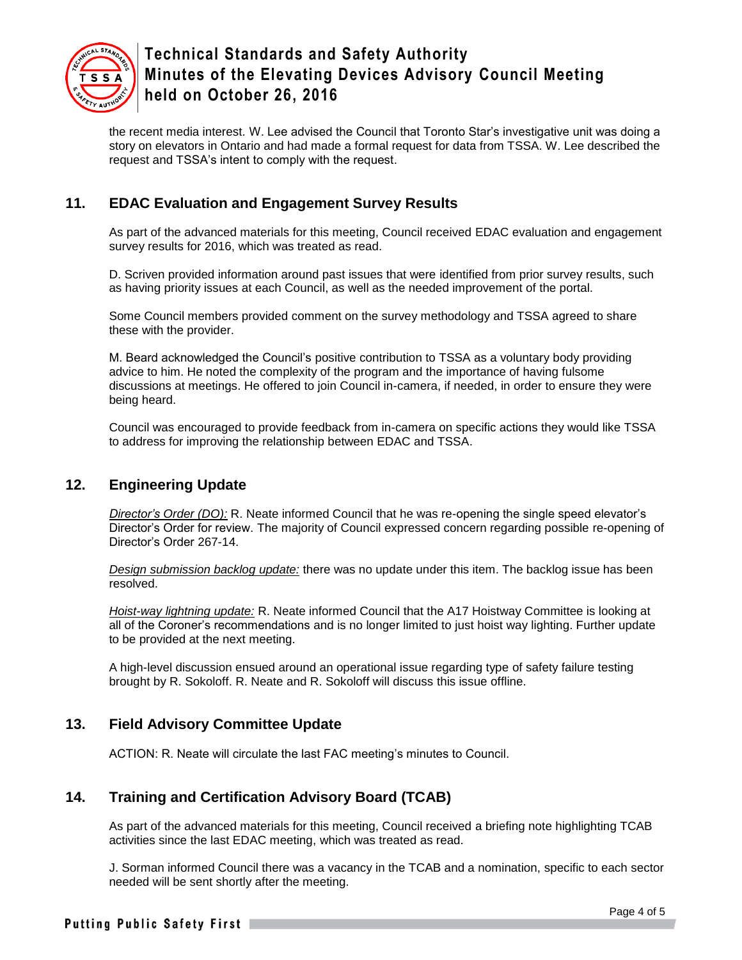

the recent media interest. W. Lee advised the Council that Toronto Star's investigative unit was doing a story on elevators in Ontario and had made a formal request for data from TSSA. W. Lee described the request and TSSA's intent to comply with the request.

## **11. EDAC Evaluation and Engagement Survey Results**

As part of the advanced materials for this meeting, Council received EDAC evaluation and engagement survey results for 2016, which was treated as read.

D. Scriven provided information around past issues that were identified from prior survey results, such as having priority issues at each Council, as well as the needed improvement of the portal.

Some Council members provided comment on the survey methodology and TSSA agreed to share these with the provider.

M. Beard acknowledged the Council's positive contribution to TSSA as a voluntary body providing advice to him. He noted the complexity of the program and the importance of having fulsome discussions at meetings. He offered to join Council in-camera, if needed, in order to ensure they were being heard.

Council was encouraged to provide feedback from in-camera on specific actions they would like TSSA to address for improving the relationship between EDAC and TSSA.

## **12. Engineering Update**

*Director's Order (DO):* R. Neate informed Council that he was re-opening the single speed elevator's Director's Order for review. The majority of Council expressed concern regarding possible re-opening of Director's Order 267-14.

*Design submission backlog update:* there was no update under this item. The backlog issue has been resolved.

*Hoist-way lightning update:* R. Neate informed Council that the A17 Hoistway Committee is looking at all of the Coroner's recommendations and is no longer limited to just hoist way lighting. Further update to be provided at the next meeting.

A high-level discussion ensued around an operational issue regarding type of safety failure testing brought by R. Sokoloff. R. Neate and R. Sokoloff will discuss this issue offline.

## **13. Field Advisory Committee Update**

ACTION: R. Neate will circulate the last FAC meeting's minutes to Council.

## **14. Training and Certification Advisory Board (TCAB)**

As part of the advanced materials for this meeting, Council received a briefing note highlighting TCAB activities since the last EDAC meeting, which was treated as read.

J. Sorman informed Council there was a vacancy in the TCAB and a nomination, specific to each sector needed will be sent shortly after the meeting.